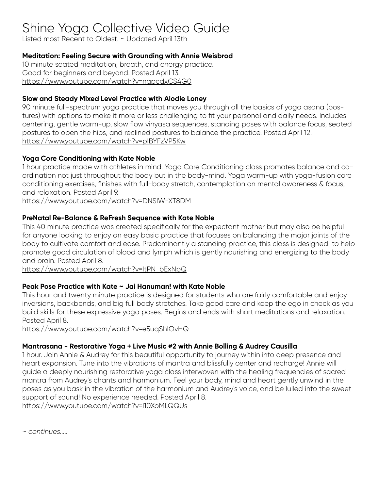# Shine Yoga Collective Video Guide

Listed most Recent to Oldest. ~ Updated April 13th

## **Meditation: Feeling Secure with Grounding with Annie Weisbrod**

10 minute seated meditation, breath, and energy practice. Good for beginners and beyond. Posted April 13. https://www.youtube.com/watch?v=nqpcdxCS4G0

## **Slow and Steady Mixed Level Practice with Alodie Loney**

90 minute full-spectrum yoga practice that moves you through all the basics of yoga asana (postures) with options to make it more or less challenging to fit your personal and daily needs. Includes centering, gentle warm-up, slow flow vinyasa sequences, standing poses with balance focus, seated postures to open the hips, and reclined postures to balance the practice. Posted April 12. https://www.youtube.com/watch?v=pIBYFzVP5Kw

## **Yoga Core Conditioning with Kate Noble**

1 hour practice made with athletes in mind. Yoga Core Conditioning class promotes balance and coordination not just throughout the body but in the body-mind. Yoga warm-up with yoga-fusion core conditioning exercises, finishes with full-body stretch, contemplation on mental awareness & focus, and relaxation. Posted April 9.

https://www.youtube.com/watch?v=DNSlW-XT8DM

## **PreNatal Re-Balance & ReFresh Sequence with Kate Noble**

This 40 minute practice was created specifically for the expectant mother but may also be helpful for anyone looking to enjoy an easy basic practice that focuses on balancing the major joints of the body to cultivate comfort and ease. Predominantly a standing practice, this class is designed to help promote good circulation of blood and lymph which is gently nourishing and energizing to the body and brain. Posted April 8.

https://www.youtube.com/watch?v=ItPN\_bExNpQ

# **Peak Pose Practice with Kate ~ Jai Hanuman! with Kate Noble**

This hour and twenty minute practice is designed for students who are fairly comfortable and enjoy inversions, backbends, and big full body stretches. Take good care and keep the ego in check as you build skills for these expressive yoga poses. Begins and ends with short meditations and relaxation. Posted April 8.

https://www.youtube.com/watch?v=e5uqShIOvHQ

# **Mantrasana - Restorative Yoga + Live Music #2 with Annie Bolling & Audrey Causilla**

1 hour. Join Annie & Audrey for this beautiful opportunity to journey within into deep presence and heart expansion. Tune into the vibrations of mantra and blissfully center and recharge! Annie will guide a deeply nourishing restorative yoga class interwoven with the healing frequencies of sacred mantra from Audrey's chants and harmonium. Feel your body, mind and heart gently unwind in the poses as you bask in the vibration of the harmonium and Audrey's voice, and be lulled into the sweet support of sound! No experience needed. Posted April 8. https://www.youtube.com/watch?v=I10XoMLQQUs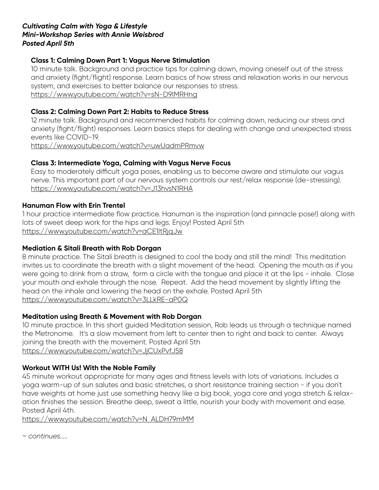#### *Cultivating Calm with Yoga & Lifestyle Mini-Workshop Series with Annie Weisbrod Posted April 5th*

## **Class 1: Calming Down Part 1: Vagus Nerve Stimulation**

10 minute talk. Background and practice tips for calming down, moving oneself out of the stress and anxiety (fight/flight) response. Learn basics of how stress and relaxation works in our nervous system, and exercises to better balance our responses to stress. https://www.youtube.com/watch?v=sN-D9IMRHng

#### **Class 2: Calming Down Part 2: Habits to Reduce Stress**

12 minute talk. Background and recommended habits for calming down, reducing our stress and anxiety (fight/flight) responses. Learn basics steps for dealing with change and unexpected stress events like COVID-19.

https://www.youtube.com/watch?v=uwUadmPRmvw

## **Class 3: Intermediate Yoga, Calming with Vagus Nerve Focus**

Easy to moderately difficult yoga poses, enabling us to become aware and stimulate our vagus nerve. This important part of our nervous system controls our rest/relax response (de-stressing). https://www.youtube.com/watch?v=J13hvsN1RHA

#### **Hanuman Flow with Erin Trentel**

1 hour practice intermediate flow practice. Hanuman is the inspiration (and pinnacle pose!) along with lots of sweet deep work for the hips and legs. Enjoy! Posted April 5th https://www.youtube.com/watch?v=aCE1ItRjqJw

## **Mediation & Sitali Breath with Rob Dorgan**

8 minute practice. The Sitali breath is designed to cool the body and still the mind! This meditation invites us to coordinate the breath with a slight movement of the head. Opening the mouth as if you were going to drink from a straw, form a circle with the tongue and place it at the lips - inhale. Close your mouth and exhale through the nose. Repeat. Add the head movement by slightly lifting the head on the inhale and lowering the head on the exhale. Posted April 5th https://www.youtube.com/watch?v=3LLkRE-aP0Q

## **Meditation using Breath & Movement with Rob Dorgan**

10 minute practice. In this short guided Meditation session, Rob leads us through a technique named the Metronome. It's a slow movement from left to center then to right and back to center. Always joining the breath with the movement. Posted April 5th https://www.youtube.com/watch?v=JjCUxPvfJ58

## **Workout WITH Us! With the Noble Family**

45 minute workout appropriate for many ages and fitness levels with lots of variations. Includes a yoga warm-up of sun salutes and basic stretches, a short resistance training section - if you don't have weights at home just use something heavy like a big book, yoga core and yoga stretch & relaxation finishes the session. Breathe deep, sweat a little, nourish your body with movement and ease. Posted April 4th.

https://www.youtube.com/watch?v=N\_ALDH79mMM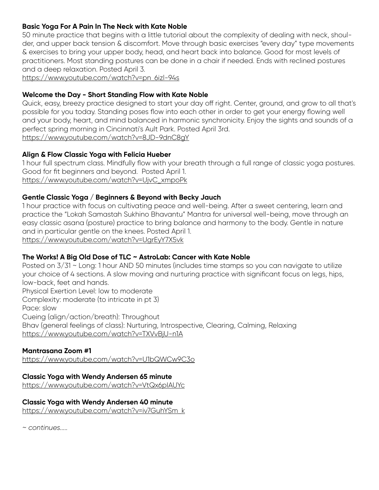# **Basic Yoga For A Pain In The Neck with Kate Noble**

50 minute practice that begins with a little tutorial about the complexity of dealing with neck, shoulder, and upper back tension & discomfort. Move through basic exercises "every day" type movements & exercises to bring your upper body, head, and heart back into balance. Good for most levels of practitioners. Most standing postures can be done in a chair if needed. Ends with reclined postures and a deep relaxation. Posted April 3.

https://www.youtube.com/watch?v=pn\_6izl-94s

## **Welcome the Day - Short Standing Flow with Kate Noble**

Quick, easy, breezy practice designed to start your day off right. Center, ground, and grow to all that's possible for you today. Standing poses flow into each other in order to get your energy flowing well and your body, heart, and mind balanced in harmonic synchronicity. Enjoy the sights and sounds of a perfect spring morning in Cincinnati's Ault Park. Posted April 3rd. https://www.youtube.com/watch?v=8JD-9dnC8gY

## **Align & Flow Classic Yoga with Felicia Hueber**

1 hour full spectrum class. Mindfully flow with your breath through a full range of classic yoga postures. Good for fit beginners and beyond. Posted April 1. https://www.youtube.com/watch?v=UjvC\_xmpoPk

#### **Gentle Classic Yoga / Beginners & Beyond with Becky Jauch**

1 hour practice with focus on cultivating peace and well-being. After a sweet centering, learn and practice the "Lokah Samastah Sukhino Bhavantu" Mantra for universal well-being, move through an easy classic asana (posture) practice to bring balance and harmony to the body. Gentle in nature and in particular gentle on the knees. Posted April 1.

https://www.youtube.com/watch?v=UgrEyY7X5vk

## **The Works! A Big Old Dose of TLC ~ AstroLab: Cancer with Kate Noble**

Posted on  $3/31$  ~ Long: 1 hour AND 50 minutes (includes time stamps so you can navigate to utilize your choice of 4 sections. A slow moving and nurturing practice with significant focus on legs, hips, low-back, feet and hands. Physical Exertion Level: low to moderate Complexity: moderate (to intricate in pt 3) Pace: slow Cueing (align/action/breath): Throughout Bhav (general feelings of class): Nurturing, Introspective, Clearing, Calming, Relaxing https://www.youtube.com/watch?v=TXVvBjU-n1A

## **Mantrasana Zoom #1**

https://www.youtube.com/watch?v=U1bQWCw9C3o

#### **Classic Yoga with Wendy Andersen 65 minute**

https://www.youtube.com/watch?v=VtQx6pIAUYc

#### **Classic Yoga with Wendy Andersen 40 minute**

https://www.youtube.com/watch?v=iv7GuhYSm\_k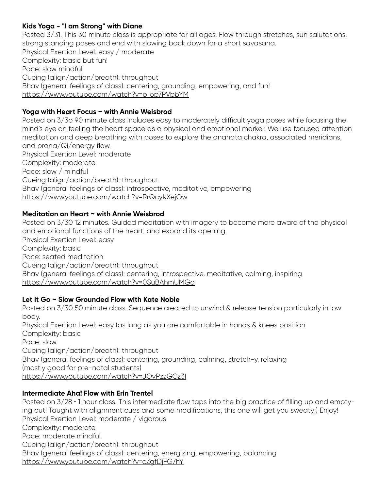# **Kids Yoga - "I am Strong" with Diane**

Posted 3/31. This 30 minute class is appropriate for all ages. Flow through stretches, sun salutations, strong standing poses and end with slowing back down for a short savasana. Physical Exertion Level: easy / moderate Complexity: basic but fun! Pace: slow mindful Cueing (align/action/breath): throughout Bhav (general feelings of class): centering, grounding, empowering, and fun! https://www.youtube.com/watch?v=p\_op7PVbbYM

# **Yoga with Heart Focus ~ with Annie Weisbrod**

Posted on 3/3o 90 minute class includes easy to moderately difficult yoga poses while focusing the mind's eye on feeling the heart space as a physical and emotional marker. We use focused attention meditation and deep breathing with poses to explore the anahata chakra, associated meridians, and prana/Qi/energy flow. Physical Exertion Level: moderate Complexity: moderate Pace: slow / mindful Cueing (align/action/breath): throughout Bhav (general feelings of class): introspective, meditative, empowering https://www.youtube.com/watch?v=RrQcyKXejOw

## **Meditation on Heart ~ with Annie Weisbrod**

Posted on 3/30 12 minutes. Guided meditation with imagery to become more aware of the physical and emotional functions of the heart, and expand its opening. Physical Exertion Level: easy Complexity: basic Pace: seated meditation Cueing (align/action/breath): throughout Bhav (general feelings of class): centering, introspective, meditative, calming, inspiring https://www.youtube.com/watch?v=0SuBAhmUMGo

# **Let It Go ~ Slow Grounded Flow with Kate Noble**

Posted on 3/30 50 minute class. Sequence created to unwind & release tension particularly in low body. Physical Exertion Level: easy (as long as you are comfortable in hands & knees position Complexity: basic

Pace: slow Cueing (align/action/breath): throughout Bhav (general feelings of class): centering, grounding, calming, stretch-y, relaxing (mostly good for pre-natal students) https://www.youtube.com/watch?v=JOvPzzGCz3I

## **Intermediate Aha! Flow with Erin Trentel**

Posted on  $3/28 \cdot 1$  hour class. This intermediate flow taps into the big practice of filling up and emptying out! Taught with alignment cues and some modifications, this one will get you sweaty;) Enjoy! Physical Exertion Level: moderate / vigorous Complexity: moderate Pace: moderate mindful Cueing (align/action/breath): throughout Bhav (general feelings of class): centering, energizing, empowering, balancing https://www.youtube.com/watch?v=cZgfDjFG7hY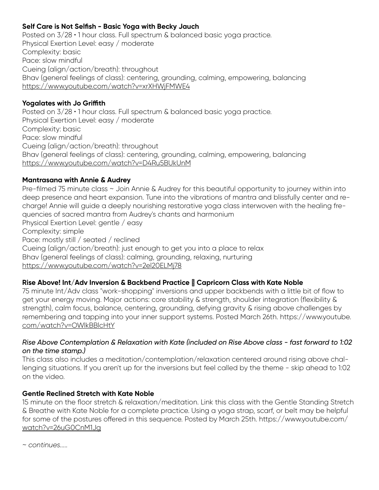# **Self Care is Not Selfish - Basic Yoga with Becky Jauch**

Posted on  $3/28 \cdot 1$  hour class. Full spectrum & balanced basic yoga practice. Physical Exertion Level: easy / moderate Complexity: basic Pace: slow mindful Cueing (align/action/breath): throughout Bhav (general feelings of class): centering, grounding, calming, empowering, balancing https://www.youtube.com/watch?v=xrXHWjFMWE4

## **Yogalates with Jo Griffith**

Posted on 3/28 · 1 hour class. Full spectrum & balanced basic yoga practice. Physical Exertion Level: easy / moderate Complexity: basic Pace: slow mindful Cueing (align/action/breath): throughout Bhav (general feelings of class): centering, grounding, calming, empowering, balancing https://www.youtube.com/watch?v=D4Ru5BUkUnM

## **Mantrasana with Annie & Audrey**

Pre-filmed 75 minute class ~ Join Annie & Audrey for this beautiful opportunity to journey within into deep presence and heart expansion. Tune into the vibrations of mantra and blissfully center and recharge! Annie will guide a deeply nourishing restorative yoga class interwoven with the healing frequencies of sacred mantra from Audrey's chants and harmonium Physical Exertion Level: gentle / easy Complexity: simple Pace: mostly still / seated / reclined Cueing (align/action/breath): just enough to get you into a place to relax Bhav (general feelings of class): calming, grounding, relaxing, nurturing https://www.youtube.com/watch?v=2el20ELMj78

# Rise Above! Int/Adv Inversion & Backbend Practice Capricorn Class with Kate Noble

75 minute Int/Adv class "work-shopping" inversions and upper backbends with a little bit of flow to get your energy moving. Major actions: core stability & strength, shoulder integration (flexibility & strength), calm focus, balance, centering, grounding, defying gravity & rising above challenges by remembering and tapping into your inner support systems. Posted March 26th. https://www.youtube. com/watch?v=OWlkBBlcHtY

#### *Rise Above Contemplation & Relaxation with Kate (included on Rise Above class - fast forward to 1:02 on the time stamp.)*

This class also includes a meditation/contemplation/relaxation centered around rising above challenging situations. If you aren't up for the inversions but feel called by the theme - skip ahead to 1:02 on the video.

## **Gentle Reclined Stretch with Kate Noble**

15 minute on the floor stretch & relaxation/meditation. Link this class with the Gentle Standing Stretch & Breathe with Kate Noble for a complete practice. Using a yoga strap, scarf, or belt may be helpful for some of the postures offered in this sequence. Posted by March 25th. https://www.youtube.com/ watch?v=26uG0CnM1Jg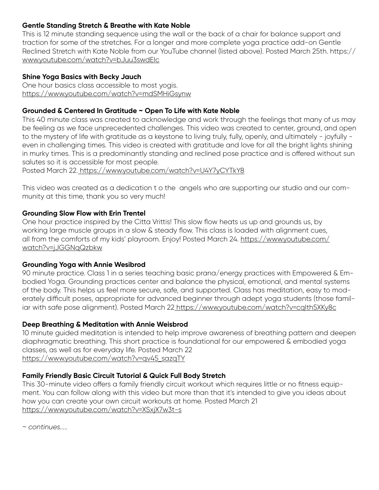## **Gentle Standing Stretch & Breathe with Kate Noble**

This is 12 minute standing sequence using the wall or the back of a chair for balance support and traction for some of the stretches. For a longer and more complete yoga practice add-on Gentle Reclined Stretch with Kate Noble from our YouTube channel (listed above). Posted March 25th. https:// www.youtube.com/watch?v=bJuu3swdEIc

## **Shine Yoga Basics with Becky Jauch**

One hour basics class accessible to most yogis. https://www.youtube.com/watch?v=mdSMHiGsynw

## **Grounded & Centered In Gratitude ~ Open To Life with Kate Noble**

This 40 minute class was created to acknowledge and work through the feelings that many of us may be feeling as we face unprecedented challenges. This video was created to center, ground, and open to the mystery of life with gratitude as a keystone to living truly, fully, openly, and ultimately - joyfully even in challenging times. This video is created with gratitude and love for all the bright lights shining in murky times. This is a predominantly standing and reclined pose practice and is offered without sun salutes so it is accessible for most people.

Posted March 22. https://www.youtube.com/watch?v=U4Y7yCYTkY8

This video was created as a dedication t o the angels who are supporting our studio and our community at this time, thank you so very much!

## **Grounding Slow Flow with Erin Trentel**

One hour practice inspired by the Citta Vrittis! This slow flow heats us up and grounds us, by working large muscle groups in a slow & steady flow. This class is loaded with alignment cues, all from the comforts of my kids' playroom. Enjoy! Posted March 24. https://www.youtube.com/ watch?v=jJGGNqQzbkw

## **Grounding Yoga with Annie Wesibrod**

90 minute practice. Class 1 in a series teaching basic prana/energy practices with Empowered & Embodied Yoga. Grounding practices center and balance the physical, emotional, and mental systems of the body. This helps us feel more secure, safe, and supported. Class has meditation, easy to moderately difficult poses, appropriate for advanced beginner through adept yoga students (those familiar with safe pose alignment). Posted March 22 https://www.youtube.com/watch?v=cqIth5XKy8c

## **Deep Breathing & Meditation with Annie Weisbrod**

10 minute guided meditation is intended to help improve awareness of breathing pattern and deepen diaphragmatic breathing. This short practice is foundational for our empowered & embodied yoga classes, as well as for everyday life. Posted March 22 https://www.youtube.com/watch?v=qv45\_sazqTY

## **Family Friendly Basic Circuit Tutorial & Quick Full Body Stretch**

This 30-minute video offers a family friendly circuit workout which requires little or no fitness equipment. You can follow along with this video but more than that it's intended to give you ideas about how you can create your own circuit workouts at home. Posted March 21 https://www.youtube.com/watch?v=XSxjX7w3t-s